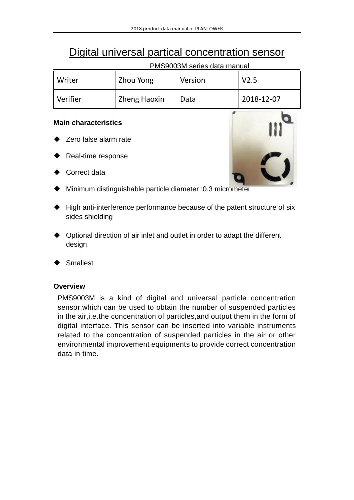# Digital universal partical concentration sensor

| PMS9003M series data manual |                                          |      |            |  |  |
|-----------------------------|------------------------------------------|------|------------|--|--|
| Writer                      | Zhou Yong<br>V <sub>2.5</sub><br>Version |      |            |  |  |
| Verifier                    | <b>Zheng Haoxin</b>                      | Data | 2018-12-07 |  |  |

#### **Main characteristics**

- Zero false alarm rate
- Real-time response
- Correct data



- Minimum distinguishable particle diameter :0.3 micrometer
- $\blacklozenge$  High anti-interference performance because of the patent structure of six sides shielding
- Optional direction of air inlet and outlet in order to adapt the different design
- Smallest

### **Overview**

PMS9003M is a kind of digital and universal particle concentration sensor,which can be used to obtain the number of suspended particles in the air,i.e.the concentration of particles,and output them in the form of digital interface. This sensor can be inserted into variable instruments related to the concentration of suspended particles in the air or other environmental improvement equipments to provide correct concentration data in time.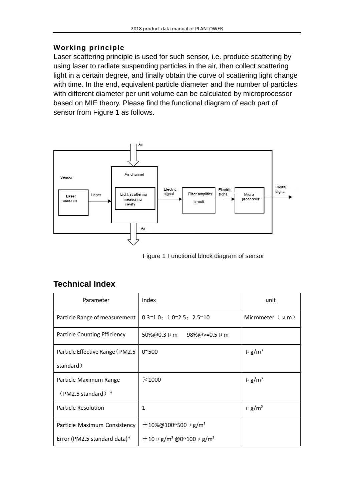### **Working principle**

Laser scattering principle is used for such sensor, i.e. produce scattering by using laser to radiate suspending particles in the air, then collect scattering light in a certain degree, and finally obtain the curve of scattering light change with time. In the end, equivalent particle diameter and the number of particles with different diameter per unit volume can be calculated by microprocessor based on MIE theory. Please find the functional diagram of each part of sensor from Figure 1 as follows.



Figure 1 Functional block diagram of sensor

## **Technical Index**

| Parameter                       | Index                                                        | unit                   |
|---------------------------------|--------------------------------------------------------------|------------------------|
| Particle Range of measurement   | $0.3^{\sim}1.0$ ; $1.0^{\sim}2.5$ ; $2.5^{\sim}10$           | Micrometer $(\mu m)$   |
| Particle Counting Efficiency    | 50%@0.3 µ m<br>98%@>=0.5 $\mu$ m                             |                        |
| Particle Effective Range (PM2.5 | $0^{\sim}500$                                                | $\mu$ g/m <sup>3</sup> |
| standard)                       |                                                              |                        |
| Particle Maximum Range          | ≥1000                                                        | $\mu$ g/m <sup>3</sup> |
| $(PM2.5$ standard) $*$          |                                                              |                        |
| <b>Particle Resolution</b>      | 1                                                            | $\mu$ g/m <sup>3</sup> |
| Particle Maximum Consistency    | $\pm$ 10%@100~500 µ g/m <sup>3</sup>                         |                        |
| Error (PM2.5 standard data) $*$ | $\pm$ 10 µ g/m <sup>3</sup> @0 $\sim$ 100 µ g/m <sup>3</sup> |                        |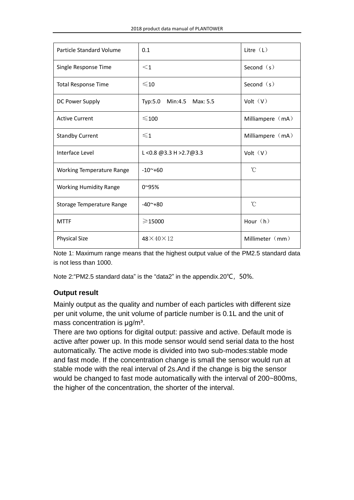| Particle Standard Volume         | 0.1                         | Litre $(L)$      |
|----------------------------------|-----------------------------|------------------|
| Single Response Time             | $\leq$ 1                    | Second $(s)$     |
| <b>Total Response Time</b>       | $\leq 10$                   | Second $(s)$     |
| DC Power Supply                  | Typ:5.0<br>Min:4.5 Max: 5.5 | Volt $(V)$       |
| <b>Active Current</b>            | $\leq 100$                  | Milliampere (mA) |
| <b>Standby Current</b>           | $\leqslant$ 1               | Milliampere (mA) |
| Interface Level                  | L < 0.8 $@3.3 H > 2.7@3.3$  | Volt $(V)$       |
| <b>Working Temperature Range</b> | $-10$ <sup>~</sup> +60      | $^{\circ}$ C     |
| <b>Working Humidity Range</b>    | $0^{\sim}95%$               |                  |
| Storage Temperature Range        | $-40^{\sim}+80$             | $^{\circ}$ C     |
| <b>MTTF</b>                      | $\geq 15000$                | Hour $(h)$       |
| <b>Physical Size</b>             | $48\times40\times12$        | Millimeter (mm)  |

Note 1: Maximum range means that the highest output value of the PM2.5 standard data is not less than 1000.

Note 2: "PM2.5 standard data" is the "data2" in the appendix.20°C, 50%.

### **Output result**

Mainly output as the quality and number of each particles with different size per unit volume, the unit volume of particle number is 0.1L and the unit of mass concentration is μg/m<sup>3</sup>.

There are two options for digital output: passive and active. Default mode is active after power up. In this mode sensor would send serial data to the host automatically. The active mode is divided into two sub-modes:stable mode and fast mode. If the concentration change is small the sensor would run at stable mode with the real interval of 2s.And if the change is big the sensor would be changed to fast mode automatically with the interval of 200~800ms, the higher of the concentration, the shorter of the interval.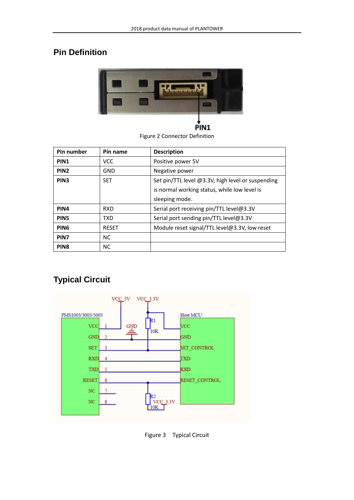## **Pin Definition**



Figure 2 Connector Definition

| Pin number       | Pin name     | <b>Description</b>                                |
|------------------|--------------|---------------------------------------------------|
| PIN <sub>1</sub> | <b>VCC</b>   | Positive power 5V                                 |
| PIN <sub>2</sub> | GND          | Negative power                                    |
| PIN <sub>3</sub> | <b>SET</b>   | Set pin/TTL level @3.3V, high level or suspending |
|                  |              | is normal working status, while low level is      |
|                  |              | sleeping mode.                                    |
| PIN4             | <b>RXD</b>   | Serial port receiving pin/TTL level@3.3V          |
| PIN <sub>5</sub> | TXD          | Serial port sending pin/TTL level@3.3V            |
| PIN <sub>6</sub> | <b>RESET</b> | Module reset signal/TTL level@3.3V, low reset     |
| PIN7             | <b>NC</b>    |                                                   |
| PIN <sub>8</sub> | <b>NC</b>    |                                                   |

## **Typical Circuit**



Figure 3 Typical Circuit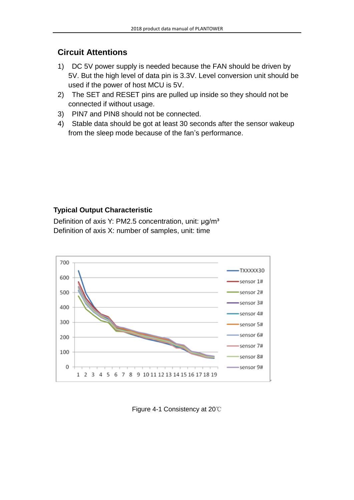## **Circuit Attentions**

- 1) DC 5V power supply is needed because the FAN should be driven by 5V. But the high level of data pin is 3.3V. Level conversion unit should be used if the power of host MCU is 5V.
- 2) The SET and RESET pins are pulled up inside so they should not be connected if without usage.
- 3) PIN7 and PIN8 should not be connected.
- 4) Stable data should be got at least 30 seconds after the sensor wakeup from the sleep mode because of the fan's performance.

### **Typical Output Characteristic**

Definition of axis Y: PM2.5 concentration, unit: μg/m<sup>3</sup> Definition of axis X: number of samples, unit: time



Figure 4-1 Consistency at 20℃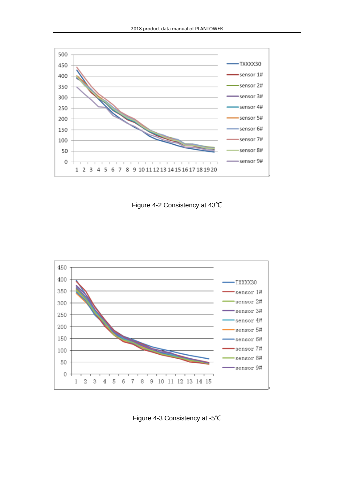

Figure 4-2 Consistency at 43℃



Figure 4-3 Consistency at -5℃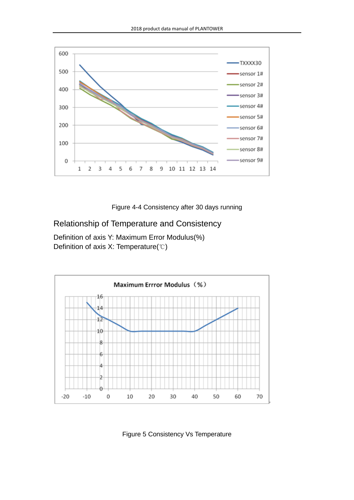

Figure 4-4 Consistency after 30 days running

Relationship of Temperature and Consistency

Definition of axis Y: Maximum Error Modulus(%) Definition of axis X: Temperature(℃)



Figure 5 Consistency Vs Temperature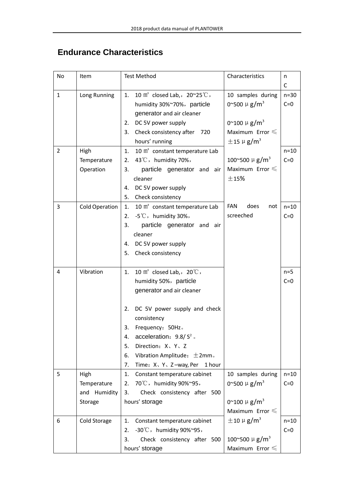## **Endurance Characteristics**

| No             | Item                                           | <b>Test Method</b>                                                                                                                                                                                                                                                                                                                   | Characteristics                                                                                                                               | n<br>C            |
|----------------|------------------------------------------------|--------------------------------------------------------------------------------------------------------------------------------------------------------------------------------------------------------------------------------------------------------------------------------------------------------------------------------------|-----------------------------------------------------------------------------------------------------------------------------------------------|-------------------|
| $\mathbf{1}$   | Long Running                                   | 10 $m^2$ closed Lab, $, 20^{\circ}25^{\circ}$ C,<br>1.<br>humidity 30%~70%, particle<br>generator and air cleaner<br>DC 5V power supply<br>2.<br>Check consistency after<br>720<br>3.<br>hours' running                                                                                                                              | 10 samples during<br>0~500 $\mu$ g/m <sup>3</sup><br>0~100 $\mu$ g/m <sup>3</sup><br>Maximum Error $\leqslant$<br>$\pm$ 15 µ g/m <sup>3</sup> | $n=30$<br>$C=0$   |
| $\overline{2}$ | High<br>Temperature<br>Operation               | 10 $m2$ constant temperature Lab<br>1.<br>43°C, humidity 70%,<br>2.<br>particle generator and air<br>3.<br>cleaner<br>4.<br>DC 5V power supply<br>5.<br>Check consistency                                                                                                                                                            | 100~500 $\mu$ g/m <sup>3</sup><br>Maximum Error $\leq$<br>±15%                                                                                | $n=10$<br>$C=0$   |
| 3              | <b>Cold Operation</b>                          | 1.<br>10 $m2$ constant temperature Lab<br>$-5^{\circ}\text{C}$ , humidity 30%,<br>2.<br>particle generator and air<br>3.<br>cleaner<br>4.<br>DC 5V power supply<br>5.<br>Check consistency                                                                                                                                           | <b>FAN</b><br>does<br>not<br>screeched                                                                                                        | $n=10$<br>$C=0$   |
| 4              | Vibration                                      | 10 $m^2$ closed Lab, , 20 $\degree$ C,<br>1.<br>humidity 50%, particle<br>generator and air cleaner<br>DC 5V power supply and check<br>2.<br>consistency<br>Frequency: 50Hz.<br>3.<br>acceleration: $9.8 / S2$ .<br>4.<br>Direction: X、Y、Z<br>5.<br>Vibration Amplitude: $\pm 2$ mm.<br>6.<br>7.<br>Time: X, Y, Z-way, Per<br>1 hour |                                                                                                                                               | $n=5$<br>$C=0$    |
| 5              | High<br>Temperature<br>and Humidity<br>Storage | 1.<br>Constant temperature cabinet<br>70°C, humidity 90%~95,<br>2.<br>3.<br>Check consistency after 500<br>hours' storage                                                                                                                                                                                                            | 10 samples during<br>0~500 $\mu$ g/m <sup>3</sup><br>0~100 $\mu$ g/m <sup>3</sup>                                                             | $n=10$<br>$C=0$   |
| 6              | Cold Storage                                   | Constant temperature cabinet<br>1.<br>$-30^{\circ}\text{C}$ , humidity 90%~95,<br>2.<br>3.<br>Check consistency after 500<br>hours' storage                                                                                                                                                                                          | Maximum Error $\leqslant$<br>$\pm$ 10 µ g/m <sup>3</sup><br>100~500 $\mu$ g/m <sup>3</sup><br>Maximum Error $\leq$                            | $n = 10$<br>$C=0$ |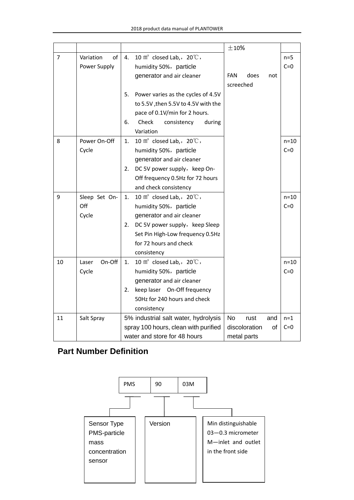|    |                 |    |                                        | ±10%       |               |       |          |
|----|-----------------|----|----------------------------------------|------------|---------------|-------|----------|
| 7  | Variation<br>of | 4. | 10 $m^2$ closed Lab, , 20 $\degree$ C, |            |               |       | $n=5$    |
|    | Power Supply    |    | humidity 50%, particle                 |            |               | $C=0$ |          |
|    |                 |    | generator and air cleaner              | <b>FAN</b> | does          | not   |          |
|    |                 |    |                                        | screeched  |               |       |          |
|    |                 | 5. | Power varies as the cycles of 4.5V     |            |               |       |          |
|    |                 |    | to 5.5V, then 5.5V to 4.5V with the    |            |               |       |          |
|    |                 |    | pace of 0.1V/min for 2 hours.          |            |               |       |          |
|    |                 | 6. | Check<br>consistency<br>during         |            |               |       |          |
|    |                 |    | Variation                              |            |               |       |          |
| 8  | Power On-Off    | 1. | 10 $m^2$ closed Lab, , 20 $\degree$ C, |            |               |       | $n = 10$ |
|    | Cycle           |    | humidity 50%, particle                 |            |               |       | $C=0$    |
|    |                 |    | generator and air cleaner              |            |               |       |          |
|    |                 | 2. | DC 5V power supply, keep On-           |            |               |       |          |
|    |                 |    | Off frequency 0.5Hz for 72 hours       |            |               |       |          |
|    |                 |    | and check consistency                  |            |               |       |          |
| 9  | Sleep Set On-   | 1. | 10 $m^2$ closed Lab, , 20 $\degree$ C, |            |               |       | $n = 10$ |
|    | Off             |    | humidity 50%, particle                 |            |               |       | $C=0$    |
|    | Cycle           |    | generator and air cleaner              |            |               |       |          |
|    |                 | 2. | DC 5V power supply, keep Sleep         |            |               |       |          |
|    |                 |    | Set Pin High-Low frequency 0.5Hz       |            |               |       |          |
|    |                 |    | for 72 hours and check                 |            |               |       |          |
|    |                 |    | consistency                            |            |               |       |          |
| 10 | On-Off<br>Laser | 1. | 10 $m^2$ closed Lab, , 20 $\degree$ C, |            |               |       | $n = 10$ |
|    | Cycle           |    | humidity 50%, particle                 |            |               |       | $C=0$    |
|    |                 |    | generator and air cleaner              |            |               |       |          |
|    |                 | 2. | keep laser On-Off frequency            |            |               |       |          |
|    |                 |    | 50Hz for 240 hours and check           |            |               |       |          |
|    |                 |    | consistency                            |            |               |       |          |
| 11 | Salt Spray      |    | 5% industrial salt water, hydrolysis   | <b>No</b>  | rust          | and   | $n=1$    |
|    |                 |    | spray 100 hours, clean with purified   |            | discoloration | οf    | $C=0$    |
|    |                 |    | water and store for 48 hours           |            | metal parts   |       |          |

## **Part Number Definition**

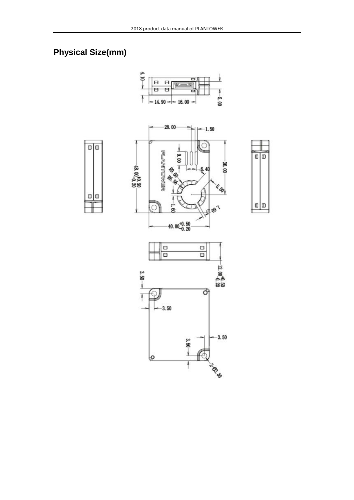# **Physical Size(mm)**









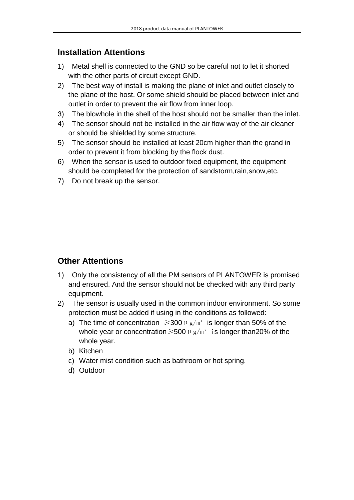## **Installation Attentions**

- 1) Metal shell is connected to the GND so be careful not to let it shorted with the other parts of circuit except GND.
- 2) The best way of install is making the plane of inlet and outlet closely to the plane of the host. Or some shield should be placed between inlet and outlet in order to prevent the air flow from inner loop.
- 3) The blowhole in the shell of the host should not be smaller than the inlet.
- 4) The sensor should not be installed in the air flow way of the air cleaner or should be shielded by some structure.
- 5) The sensor should be installed at least 20cm higher than the grand in order to prevent it from blocking by the flock dust.
- 6) When the sensor is used to outdoor fixed equipment, the equipment should be completed for the protection of sandstorm,rain,snow,etc.
- 7) Do not break up the sensor.

## **Other Attentions**

- 1) Only the consistency of all the PM sensors of PLANTOWER is promised and ensured. And the sensor should not be checked with any third party equipment.
- 2) The sensor is usually used in the common indoor environment. So some protection must be added if using in the conditions as followed:
	- a) The time of concentration  $\geq 300 \mu g/m^3$  is longer than 50% of the whole year or concentration $\geq 500 \mu g/m^3$  is longer than 20% of the whole year.
	- b) Kitchen
	- c) Water mist condition such as bathroom or hot spring.
	- d) Outdoor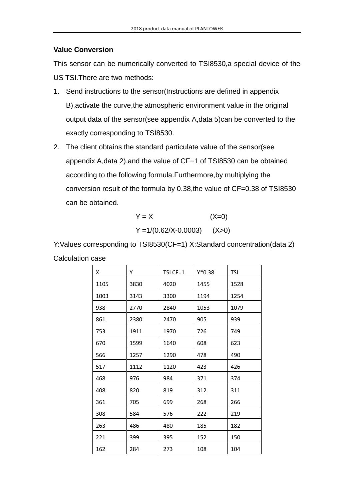### **Value Conversion**

This sensor can be numerically converted to TSI8530,a special device of the US TSI.There are two methods:

- 1. Send instructions to the sensor(Instructions are defined in appendix B),activate the curve,the atmospheric environment value in the original output data of the sensor(see appendix A,data 5)can be converted to the exactly corresponding to TSI8530.
- 2. The client obtains the standard particulate value of the sensor(see appendix A,data 2),and the value of CF=1 of TSI8530 can be obtained according to the following formula.Furthermore,by multiplying the conversion result of the formula by 0.38,the value of CF=0.38 of TSI8530 can be obtained.

$$
Y = X \qquad (X=0)
$$

$$
Y = 1/(0.62/X - 0.0003) \qquad (X > 0)
$$

Y: Values corresponding to TSI8530(CF=1) X: Standard concentration (data 2) Calculation case

| X    | Y    | TSI CF=1 | $Y*0.38$ | <b>TSI</b> |
|------|------|----------|----------|------------|
| 1105 | 3830 | 4020     | 1455     | 1528       |
| 1003 | 3143 | 3300     | 1194     | 1254       |
| 938  | 2770 | 2840     | 1053     | 1079       |
| 861  | 2380 | 2470     | 905      | 939        |
| 753  | 1911 | 1970     | 726      | 749        |
| 670  | 1599 | 1640     | 608      | 623        |
| 566  | 1257 | 1290     | 478      | 490        |
| 517  | 1112 | 1120     | 423      | 426        |
| 468  | 976  | 984      | 371      | 374        |
| 408  | 820  | 819      | 312      | 311        |
| 361  | 705  | 699      | 268      | 266        |
| 308  | 584  | 576      | 222      | 219        |
| 263  | 486  | 480      | 185      | 182        |
| 221  | 399  | 395      | 152      | 150        |
| 162  | 284  | 273      | 108      | 104        |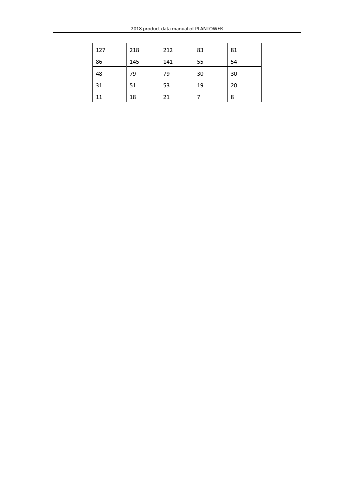| 127 | 218 | 212 | 83 | 81 |
|-----|-----|-----|----|----|
| 86  | 145 | 141 | 55 | 54 |
| 48  | 79  | 79  | 30 | 30 |
| 31  | 51  | 53  | 19 | 20 |
| 11  | 18  | 21  |    | 8  |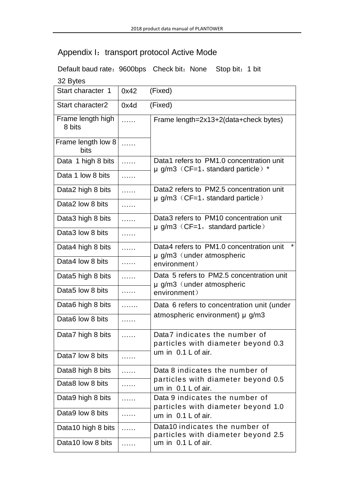## Appendix I: transport protocol Active Mode

## Default baud rate: 9600bps Check bit: None Stop bit: 1 bit

| 32 Bytes                    |      |                                                                                    |  |  |
|-----------------------------|------|------------------------------------------------------------------------------------|--|--|
| Start character 1           | 0x42 | (Fixed)                                                                            |  |  |
| Start character2            | 0x4d | (Fixed)                                                                            |  |  |
| Frame length high<br>8 bits | .    | Frame length=2x13+2(data+check bytes)                                              |  |  |
| Frame length low 8<br>bits  | .    |                                                                                    |  |  |
| Data 1 high 8 bits          | .    | Data1 refers to PM1.0 concentration unit<br>$\mu$ g/m3 (CF=1, standard particle) * |  |  |
| Data 1 low 8 bits           |      |                                                                                    |  |  |
| Data2 high 8 bits           | .    | Data2 refers to PM2.5 concentration unit<br>$\mu$ g/m3 (CF=1, standard particle)   |  |  |
| Data2 low 8 bits            | .    |                                                                                    |  |  |
| Data3 high 8 bits           | .    | Data3 refers to PM10 concentration unit<br>$\mu$ g/m3 (CF=1, standard particle)    |  |  |
| Data3 low 8 bits            | .    |                                                                                    |  |  |
| Data4 high 8 bits           | .    | Data4 refers to PM1.0 concentration unit<br>µ g/m3 (under atmospheric              |  |  |
| Data4 low 8 bits            | .    | environment)                                                                       |  |  |
| Data5 high 8 bits           | .    | Data 5 refers to PM2.5 concentration unit                                          |  |  |
| Data5 low 8 bits            | .    | $\mu$ g/m3 (under atmospheric<br>environment)                                      |  |  |
| Data6 high 8 bits           | .    | Data 6 refers to concentration unit (under                                         |  |  |
| Data6 low 8 bits            | .    | atmospheric environment) $\mu$ g/m3                                                |  |  |
| Data7 high 8 bits           | .    | Data7 indicates the number of<br>particles with diameter beyond 0.3                |  |  |
| Data7 low 8 bits            |      | um in 0.1 L of air.                                                                |  |  |
| Data8 high 8 bits           |      | Data 8 indicates the number of                                                     |  |  |
| Data8 low 8 bits            |      | particles with diameter beyond 0.5<br>um in 0.1 L of air.                          |  |  |
| Data9 high 8 bits           |      | Data 9 indicates the number of<br>particles with diameter beyond 1.0               |  |  |
| Data9 low 8 bits            |      | um in 0.1 L of air.                                                                |  |  |
| Data10 high 8 bits          | .    | Data10 indicates the number of<br>particles with diameter beyond 2.5               |  |  |
| Data10 low 8 bits           | .    | um in 0.1 L of air.                                                                |  |  |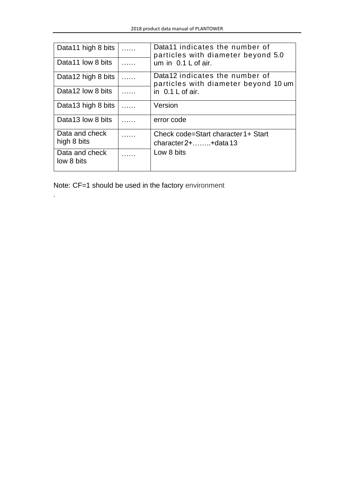| Data11 high 8 bits            |   | Data11 indicates the number of<br>particles with diameter beyond 5.0    |
|-------------------------------|---|-------------------------------------------------------------------------|
| Data11 low 8 bits             | . | um in 0.1 L of air.                                                     |
| Data12 high 8 bits            | . | Data12 indicates the number of<br>particles with diameter beyond 10 um  |
| Data12 low 8 bits             |   | in $0.1 L$ of air.                                                      |
| Data13 high 8 bits            |   | Version                                                                 |
| Data13 low 8 bits             |   | error code                                                              |
| Data and check<br>high 8 bits |   | Check code=Start character 1+ Start<br>character $2 + \ldots +$ data 13 |
| Data and check<br>low 8 bits  |   | Low 8 bits                                                              |

Note: CF=1 should be used in the factory environment

.